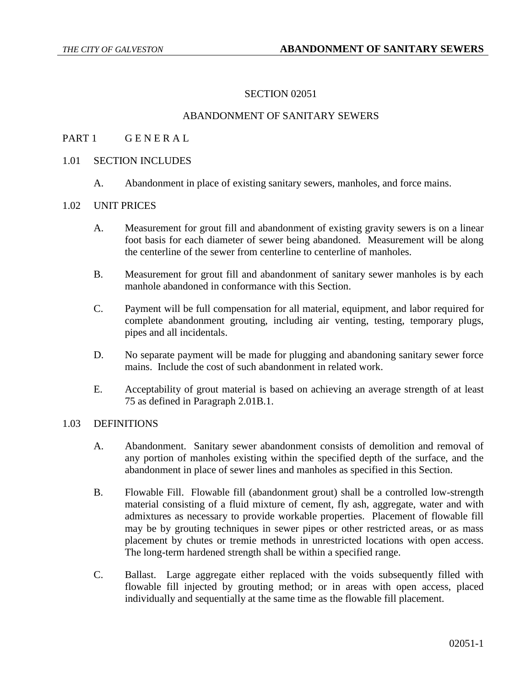## SECTION 02051

## ABANDONMENT OF SANITARY SEWERS

# PART 1 GENERAL

#### 1.01 SECTION INCLUDES

A. Abandonment in place of existing sanitary sewers, manholes, and force mains.

#### 1.02 UNIT PRICES

- A. Measurement for grout fill and abandonment of existing gravity sewers is on a linear foot basis for each diameter of sewer being abandoned. Measurement will be along the centerline of the sewer from centerline to centerline of manholes.
- B. Measurement for grout fill and abandonment of sanitary sewer manholes is by each manhole abandoned in conformance with this Section.
- C. Payment will be full compensation for all material, equipment, and labor required for complete abandonment grouting, including air venting, testing, temporary plugs, pipes and all incidentals.
- D. No separate payment will be made for plugging and abandoning sanitary sewer force mains. Include the cost of such abandonment in related work.
- E. Acceptability of grout material is based on achieving an average strength of at least 75 as defined in Paragraph 2.01B.1.

#### 1.03 DEFINITIONS

- A. Abandonment. Sanitary sewer abandonment consists of demolition and removal of any portion of manholes existing within the specified depth of the surface, and the abandonment in place of sewer lines and manholes as specified in this Section.
- B. Flowable Fill. Flowable fill (abandonment grout) shall be a controlled low-strength material consisting of a fluid mixture of cement, fly ash, aggregate, water and with admixtures as necessary to provide workable properties. Placement of flowable fill may be by grouting techniques in sewer pipes or other restricted areas, or as mass placement by chutes or tremie methods in unrestricted locations with open access. The long-term hardened strength shall be within a specified range.
- C. Ballast. Large aggregate either replaced with the voids subsequently filled with flowable fill injected by grouting method; or in areas with open access, placed individually and sequentially at the same time as the flowable fill placement.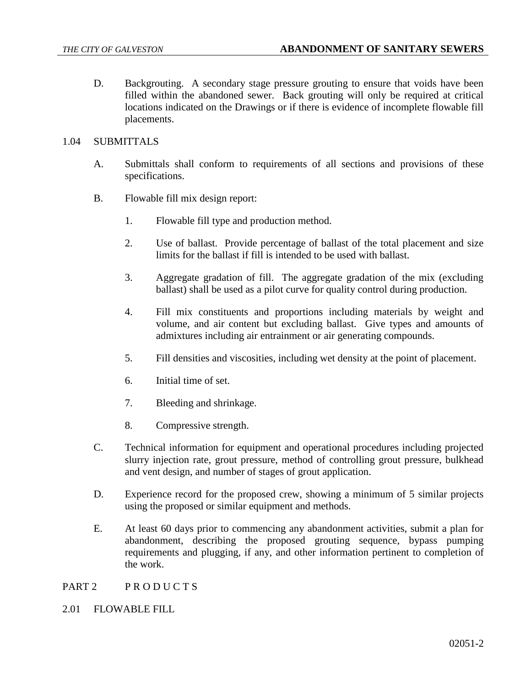D. Backgrouting. A secondary stage pressure grouting to ensure that voids have been filled within the abandoned sewer. Back grouting will only be required at critical locations indicated on the Drawings or if there is evidence of incomplete flowable fill placements.

## 1.04 SUBMITTALS

- A. Submittals shall conform to requirements of all sections and provisions of these specifications.
- B. Flowable fill mix design report:
	- 1. Flowable fill type and production method.
	- 2. Use of ballast. Provide percentage of ballast of the total placement and size limits for the ballast if fill is intended to be used with ballast.
	- 3. Aggregate gradation of fill. The aggregate gradation of the mix (excluding ballast) shall be used as a pilot curve for quality control during production.
	- 4. Fill mix constituents and proportions including materials by weight and volume, and air content but excluding ballast. Give types and amounts of admixtures including air entrainment or air generating compounds.
	- 5. Fill densities and viscosities, including wet density at the point of placement.
	- 6. Initial time of set.
	- 7. Bleeding and shrinkage.
	- 8. Compressive strength.
- C. Technical information for equipment and operational procedures including projected slurry injection rate, grout pressure, method of controlling grout pressure, bulkhead and vent design, and number of stages of grout application.
- D. Experience record for the proposed crew, showing a minimum of 5 similar projects using the proposed or similar equipment and methods.
- E. At least 60 days prior to commencing any abandonment activities, submit a plan for abandonment, describing the proposed grouting sequence, bypass pumping requirements and plugging, if any, and other information pertinent to completion of the work.

PART 2 PRODUCTS

2.01 FLOWABLE FILL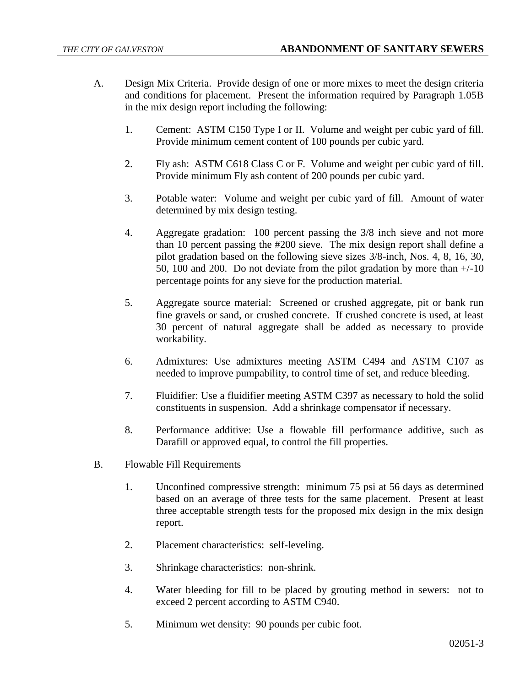- A. Design Mix Criteria. Provide design of one or more mixes to meet the design criteria and conditions for placement. Present the information required by Paragraph 1.05B in the mix design report including the following:
	- 1. Cement: ASTM C150 Type I or II. Volume and weight per cubic yard of fill. Provide minimum cement content of 100 pounds per cubic yard.
	- 2. Fly ash: ASTM C618 Class C or F. Volume and weight per cubic yard of fill. Provide minimum Fly ash content of 200 pounds per cubic yard.
	- 3. Potable water: Volume and weight per cubic yard of fill. Amount of water determined by mix design testing.
	- 4. Aggregate gradation: 100 percent passing the 3/8 inch sieve and not more than 10 percent passing the #200 sieve. The mix design report shall define a pilot gradation based on the following sieve sizes 3/8-inch, Nos. 4, 8, 16, 30, 50, 100 and 200. Do not deviate from the pilot gradation by more than  $+/-10$ percentage points for any sieve for the production material.
	- 5. Aggregate source material: Screened or crushed aggregate, pit or bank run fine gravels or sand, or crushed concrete. If crushed concrete is used, at least 30 percent of natural aggregate shall be added as necessary to provide workability.
	- 6. Admixtures: Use admixtures meeting ASTM C494 and ASTM C107 as needed to improve pumpability, to control time of set, and reduce bleeding.
	- 7. Fluidifier: Use a fluidifier meeting ASTM C397 as necessary to hold the solid constituents in suspension. Add a shrinkage compensator if necessary.
	- 8. Performance additive: Use a flowable fill performance additive, such as Darafill or approved equal, to control the fill properties.
- B. Flowable Fill Requirements
	- 1. Unconfined compressive strength: minimum 75 psi at 56 days as determined based on an average of three tests for the same placement. Present at least three acceptable strength tests for the proposed mix design in the mix design report.
	- 2. Placement characteristics: self-leveling.
	- 3. Shrinkage characteristics: non-shrink.
	- 4. Water bleeding for fill to be placed by grouting method in sewers: not to exceed 2 percent according to ASTM C940.
	- 5. Minimum wet density: 90 pounds per cubic foot.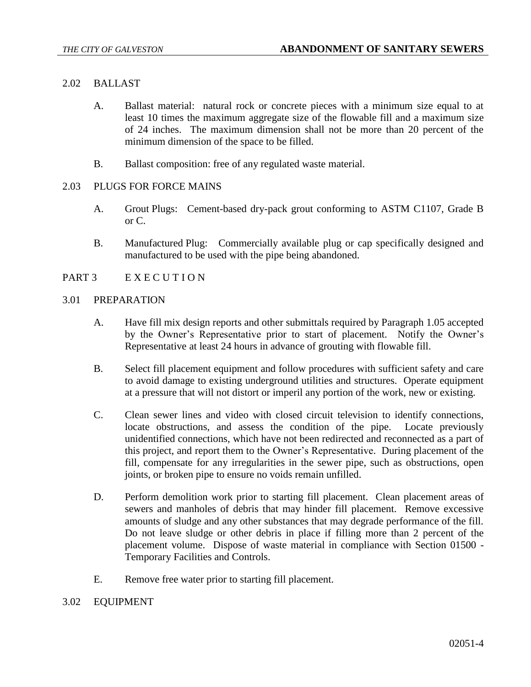## 2.02 BALLAST

- A. Ballast material: natural rock or concrete pieces with a minimum size equal to at least 10 times the maximum aggregate size of the flowable fill and a maximum size of 24 inches. The maximum dimension shall not be more than 20 percent of the minimum dimension of the space to be filled.
- B. Ballast composition: free of any regulated waste material.

### 2.03 PLUGS FOR FORCE MAINS

- A. Grout Plugs: Cement-based dry-pack grout conforming to ASTM C1107, Grade B or C.
- B. Manufactured Plug: Commercially available plug or cap specifically designed and manufactured to be used with the pipe being abandoned.

## PART 3 EXECUTION

#### 3.01 PREPARATION

- A. Have fill mix design reports and other submittals required by Paragraph 1.05 accepted by the Owner's Representative prior to start of placement. Notify the Owner's Representative at least 24 hours in advance of grouting with flowable fill.
- B. Select fill placement equipment and follow procedures with sufficient safety and care to avoid damage to existing underground utilities and structures. Operate equipment at a pressure that will not distort or imperil any portion of the work, new or existing.
- C. Clean sewer lines and video with closed circuit television to identify connections, locate obstructions, and assess the condition of the pipe. Locate previously unidentified connections, which have not been redirected and reconnected as a part of this project, and report them to the Owner's Representative. During placement of the fill, compensate for any irregularities in the sewer pipe, such as obstructions, open joints, or broken pipe to ensure no voids remain unfilled.
- D. Perform demolition work prior to starting fill placement. Clean placement areas of sewers and manholes of debris that may hinder fill placement. Remove excessive amounts of sludge and any other substances that may degrade performance of the fill. Do not leave sludge or other debris in place if filling more than 2 percent of the placement volume. Dispose of waste material in compliance with Section 01500 - Temporary Facilities and Controls.
- E. Remove free water prior to starting fill placement.

#### 3.02 EQUIPMENT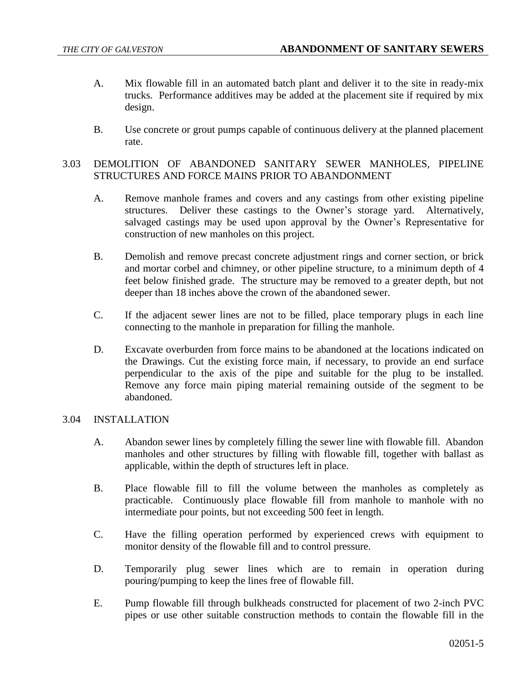- A. Mix flowable fill in an automated batch plant and deliver it to the site in ready-mix trucks. Performance additives may be added at the placement site if required by mix design.
- B. Use concrete or grout pumps capable of continuous delivery at the planned placement rate.

# 3.03 DEMOLITION OF ABANDONED SANITARY SEWER MANHOLES, PIPELINE STRUCTURES AND FORCE MAINS PRIOR TO ABANDONMENT

- A. Remove manhole frames and covers and any castings from other existing pipeline structures. Deliver these castings to the Owner's storage yard. Alternatively, salvaged castings may be used upon approval by the Owner's Representative for construction of new manholes on this project.
- B. Demolish and remove precast concrete adjustment rings and corner section, or brick and mortar corbel and chimney, or other pipeline structure, to a minimum depth of 4 feet below finished grade. The structure may be removed to a greater depth, but not deeper than 18 inches above the crown of the abandoned sewer.
- C. If the adjacent sewer lines are not to be filled, place temporary plugs in each line connecting to the manhole in preparation for filling the manhole.
- D. Excavate overburden from force mains to be abandoned at the locations indicated on the Drawings. Cut the existing force main, if necessary, to provide an end surface perpendicular to the axis of the pipe and suitable for the plug to be installed. Remove any force main piping material remaining outside of the segment to be abandoned.

## 3.04 INSTALLATION

- A. Abandon sewer lines by completely filling the sewer line with flowable fill. Abandon manholes and other structures by filling with flowable fill, together with ballast as applicable, within the depth of structures left in place.
- B. Place flowable fill to fill the volume between the manholes as completely as practicable. Continuously place flowable fill from manhole to manhole with no intermediate pour points, but not exceeding 500 feet in length.
- C. Have the filling operation performed by experienced crews with equipment to monitor density of the flowable fill and to control pressure.
- D. Temporarily plug sewer lines which are to remain in operation during pouring/pumping to keep the lines free of flowable fill.
- E. Pump flowable fill through bulkheads constructed for placement of two 2-inch PVC pipes or use other suitable construction methods to contain the flowable fill in the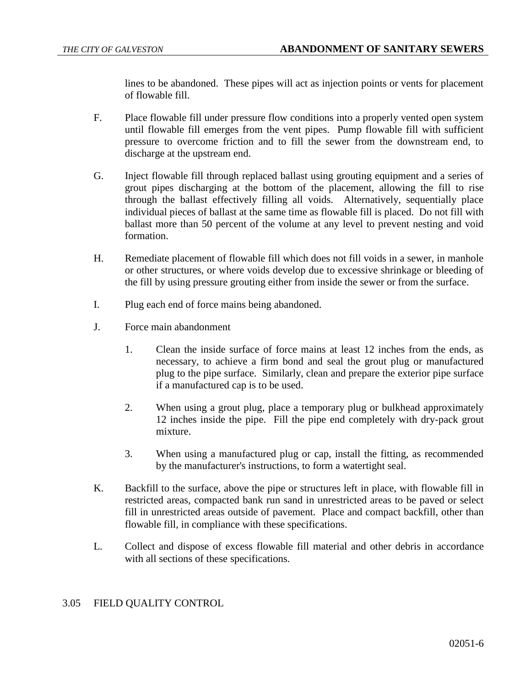lines to be abandoned. These pipes will act as injection points or vents for placement of flowable fill.

- F. Place flowable fill under pressure flow conditions into a properly vented open system until flowable fill emerges from the vent pipes. Pump flowable fill with sufficient pressure to overcome friction and to fill the sewer from the downstream end, to discharge at the upstream end.
- G. Inject flowable fill through replaced ballast using grouting equipment and a series of grout pipes discharging at the bottom of the placement, allowing the fill to rise through the ballast effectively filling all voids. Alternatively, sequentially place individual pieces of ballast at the same time as flowable fill is placed. Do not fill with ballast more than 50 percent of the volume at any level to prevent nesting and void formation.
- H. Remediate placement of flowable fill which does not fill voids in a sewer, in manhole or other structures, or where voids develop due to excessive shrinkage or bleeding of the fill by using pressure grouting either from inside the sewer or from the surface.
- I. Plug each end of force mains being abandoned.
- J. Force main abandonment
	- 1. Clean the inside surface of force mains at least 12 inches from the ends, as necessary, to achieve a firm bond and seal the grout plug or manufactured plug to the pipe surface. Similarly, clean and prepare the exterior pipe surface if a manufactured cap is to be used.
	- 2. When using a grout plug, place a temporary plug or bulkhead approximately 12 inches inside the pipe. Fill the pipe end completely with dry-pack grout mixture.
	- 3. When using a manufactured plug or cap, install the fitting, as recommended by the manufacturer's instructions, to form a watertight seal.
- K. Backfill to the surface, above the pipe or structures left in place, with flowable fill in restricted areas, compacted bank run sand in unrestricted areas to be paved or select fill in unrestricted areas outside of pavement. Place and compact backfill, other than flowable fill, in compliance with these specifications.
- L. Collect and dispose of excess flowable fill material and other debris in accordance with all sections of these specifications.

## 3.05 FIELD QUALITY CONTROL